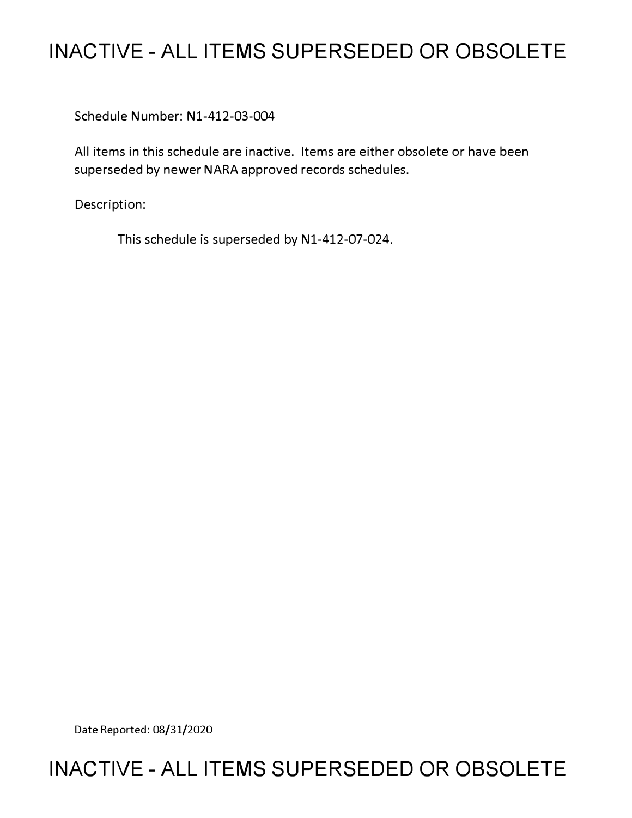# **INACTIVE - ALL ITEMS SUPERSEDED OR OBSOLETE**

Schedule Number: Nl-412-03-004

All items in this schedule are inactive. Items are either obsolete or have been superseded by newer NARA approved records schedules.

Description:

This schedule is superseded by N1-412-07-024.

Date Reported: 08/31/2020

# **INACTIVE - ALL ITEMS SUPERSEDED OR OBSOLETE**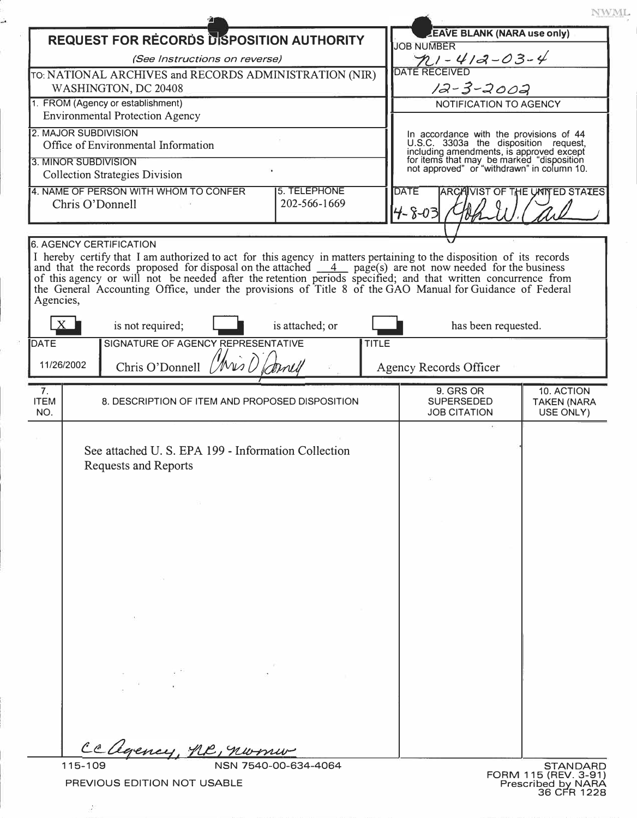|                                                                                          |                                                                                                                                                                                                                                                                                                                                       |                 |       |                                                                                                                                                                                                                         | NWML.                                         |
|------------------------------------------------------------------------------------------|---------------------------------------------------------------------------------------------------------------------------------------------------------------------------------------------------------------------------------------------------------------------------------------------------------------------------------------|-----------------|-------|-------------------------------------------------------------------------------------------------------------------------------------------------------------------------------------------------------------------------|-----------------------------------------------|
|                                                                                          | <b>REQUEST FOR RECORDS DISPOSITION AUTHORITY</b>                                                                                                                                                                                                                                                                                      |                 |       | <b>EAVE BLANK (NARA use only)</b><br><b>JOB NUMBER</b>                                                                                                                                                                  |                                               |
| (See Instructions on reverse)                                                            |                                                                                                                                                                                                                                                                                                                                       |                 |       | $71 - 412 - 03 - 4$                                                                                                                                                                                                     |                                               |
| TO: NATIONAL ARCHIVES and RECORDS ADMINISTRATION (NIR)                                   |                                                                                                                                                                                                                                                                                                                                       |                 |       | <b>DATE RECEIVED</b>                                                                                                                                                                                                    |                                               |
| WASHINGTON, DC 20408                                                                     |                                                                                                                                                                                                                                                                                                                                       |                 |       | 12-3-2002                                                                                                                                                                                                               |                                               |
| 1. FROM (Agency or establishment)<br><b>Environmental Protection Agency</b>              |                                                                                                                                                                                                                                                                                                                                       |                 |       | NOTIFICATION TO AGENCY                                                                                                                                                                                                  |                                               |
| 2. MAJOR SUBDIVISION                                                                     |                                                                                                                                                                                                                                                                                                                                       |                 |       |                                                                                                                                                                                                                         |                                               |
|                                                                                          | Office of Environmental Information                                                                                                                                                                                                                                                                                                   |                 |       | In accordance with the provisions of 44<br>U.S.C. 3303a the disposition request,<br>including amendments, is approved except<br>for items that may be marked "disposition<br>not approved" or "withdrawn" in column 10. |                                               |
| 3. MINOR SUBDIVISION                                                                     |                                                                                                                                                                                                                                                                                                                                       |                 |       |                                                                                                                                                                                                                         |                                               |
|                                                                                          | <b>Collection Strategies Division</b>                                                                                                                                                                                                                                                                                                 |                 |       |                                                                                                                                                                                                                         |                                               |
| 4. NAME OF PERSON WITH WHOM TO CONFER<br>5. TELEPHONE<br>202-566-1669<br>Chris O'Donnell |                                                                                                                                                                                                                                                                                                                                       |                 |       | <b>DATE</b><br><b>ARCAIVIST OF THE UNIVED STATES</b>                                                                                                                                                                    |                                               |
|                                                                                          |                                                                                                                                                                                                                                                                                                                                       |                 |       | $4 - 8 - 03$                                                                                                                                                                                                            |                                               |
|                                                                                          | <b>6. AGENCY CERTIFICATION</b>                                                                                                                                                                                                                                                                                                        |                 |       |                                                                                                                                                                                                                         |                                               |
| Agencies,                                                                                | and that the records proposed for disposal on the attached 4 page(s) are not now needed for the business<br>of this agency or will not be needed after the retention periods specified; and that written concurrence from<br>the General Accounting Office, under the provisions of Title 8 of the GAO Manual for Guidance of Federal |                 |       |                                                                                                                                                                                                                         |                                               |
|                                                                                          | is not required;                                                                                                                                                                                                                                                                                                                      | is attached; or |       | has been requested.                                                                                                                                                                                                     |                                               |
| DATE                                                                                     | SIGNATURE OF AGENCY REPRESENTATIVE                                                                                                                                                                                                                                                                                                    |                 | TITLE |                                                                                                                                                                                                                         |                                               |
| 11/26/2002                                                                               | Chris O'Donnell $\left(\mathcal{W}_{\mathcal{W}},\right)$                                                                                                                                                                                                                                                                             |                 |       | <b>Agency Records Officer</b>                                                                                                                                                                                           |                                               |
| 7.<br><b>ITEM</b><br>NO.                                                                 | 8. DESCRIPTION OF ITEM AND PROPOSED DISPOSITION                                                                                                                                                                                                                                                                                       |                 |       | 9. GRS OR<br><b>SUPERSEDED</b><br><b>JOB CITATION</b>                                                                                                                                                                   | 10. ACTION<br><b>TAKEN (NARA</b><br>USE ONLY) |
|                                                                                          | See attached U.S. EPA 199 - Information Collection<br><b>Requests and Reports</b><br>$-51$                                                                                                                                                                                                                                            |                 |       |                                                                                                                                                                                                                         |                                               |
|                                                                                          |                                                                                                                                                                                                                                                                                                                                       |                 |       |                                                                                                                                                                                                                         |                                               |
|                                                                                          |                                                                                                                                                                                                                                                                                                                                       |                 |       |                                                                                                                                                                                                                         |                                               |
|                                                                                          | $\mathbf{a}$ and $\mathbf{a}$ and $\mathbf{a}$ and $\mathbf{a}$                                                                                                                                                                                                                                                                       |                 |       |                                                                                                                                                                                                                         |                                               |

 $\chi^0$ 

å.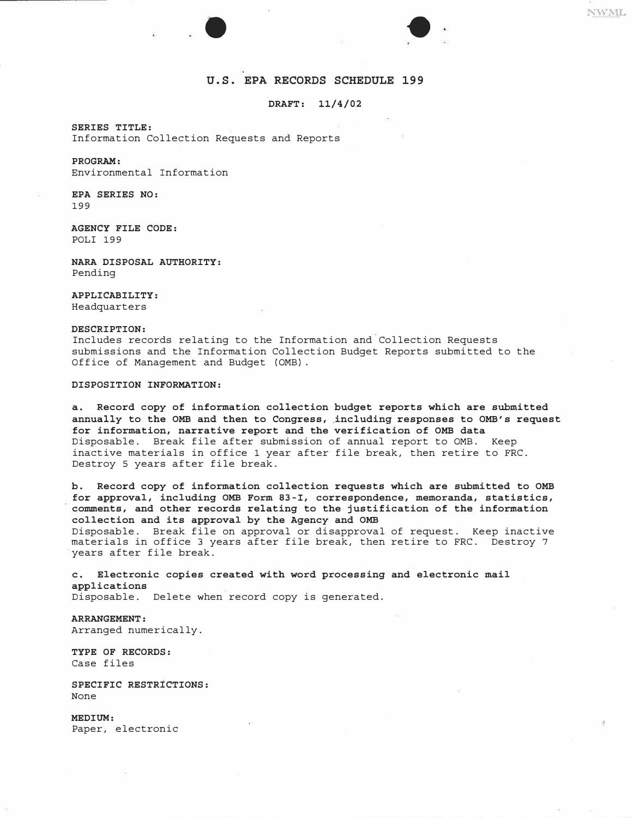

# **U.S. EPA RECORDS SCHEDULE 199**

### **DRAFT: 11/4/02**

**SERIES TITLE:**  Information Collection Requests and Reports

## **PROGRAM:**

Environmental Information

**EPA SERIES NO:**  199

**AGENCY FILE CODE:**  POLI 199

**NARA DISPOSAL AUTHORITY:**  Pending

## **APPLICABILITY:**

Headquarters

### **DESCRIPTION:**

Includes records relating to the Information and Collection Requests submissions and the Information Collection Budget Reports submitted to the Office of Management and Budget (0MB).

## **DISPOSITION INFORMATION:**

**a. Record copy of information collection budget reports which are submitted annually to the 0MB and then to Congress, including responses to OMB's request for information, narrative report and the verification of 0MB data**  Disposable. Break file after submission of annual report to 0MB. Keep inactive materials in office 1 year after file break, then retire to FRC. Destroy 5 years after file break.

**b. Record copy of information collection requests which are submitted to 0MB for approval, including 0MB Form 83-I, correspondence, memoranda, statistics, comments, and other records relating to the justification of the information collection and its approval by the Agency and 0MB**  Disposable. Break file on approval or disapproval of request. Keep inactive materials in office 3 years after file break, then retire to FRC. Destroy 7 years after file break.

**c. Electronic copies created with word processing and electronic mail applications** Disposable. Delete when record copy is generated.

**ARRANGEMENT:**  Arranged numerically.

**TYPE OF RECORDS:**  Case files

**SPECIFIC RESTRICTIONS:**  None

**MEDIUM:**  Paper, electronic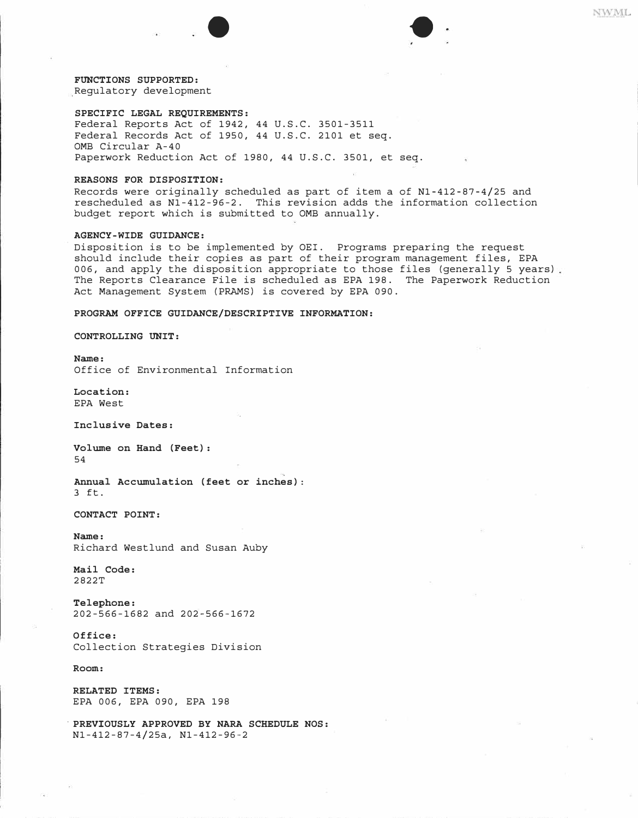

**Regulatory development** 

#### **SPECIFIC LEGAL REQUIREMENTS:**

**Federal Reports Act of 1942, 44 U.S.C. 3501-3511 Federal Records Act of 1950, 44 U.S.C. 2101 et seq. 0MB Circular A-40 Paperwork Reduction Act of 1980, 44 U.S.C. 3501, et seq.** 

#### **REASONS FOR DISPOSITION:**

**Records were originally scheduled as part of item a of Nl-412-87-4/25 and rescheduled as Nl-412-96-2. This revision adds the information collection budget report which is submitted to 0MB annually.** 

## **AGENCY-WIDE GUIDANCE:**

**Disposition is to be implemented by OEI. Programs preparing the request should include their copies as part of their program management files, EPA 006, and apply the disposition appropriate to those files (generally 5 years) The Reports Clearance File is scheduled as EPA 198. The Paperwork Reduction Act Management System (PRAMS) is covered by EPA 090.** 

#### **PROGRAM OFFICE GUIDANCE/DESCRIPTIVE INFORMATION:**

**CONTROLLING UNIT:** 

**Name:** 

**Office of Environmental Information** 

**Location: EPA West** 

**Inclusive Dates:** 

**Volume on Hand (Feet): 54** 

**Annual Accumulation (feet or inches): 3 ft.** 

**CONTACT POINT:** 

**Name: Richard Westlund and Susan Auby** 

**Mail Code: 2822T** 

**Telephone: 202-566-1682 and 202-566-1672** 

**Office: Collection Strategies Division** 

**Room:** 

**RELATED ITEMS: EPA 006, EPA 090, EPA 198** 

**- PREVIOUSLY APPROVED BY NARA SCHEDULE NOS: Nl-412-87-4/25a, Nl-412-96-2**